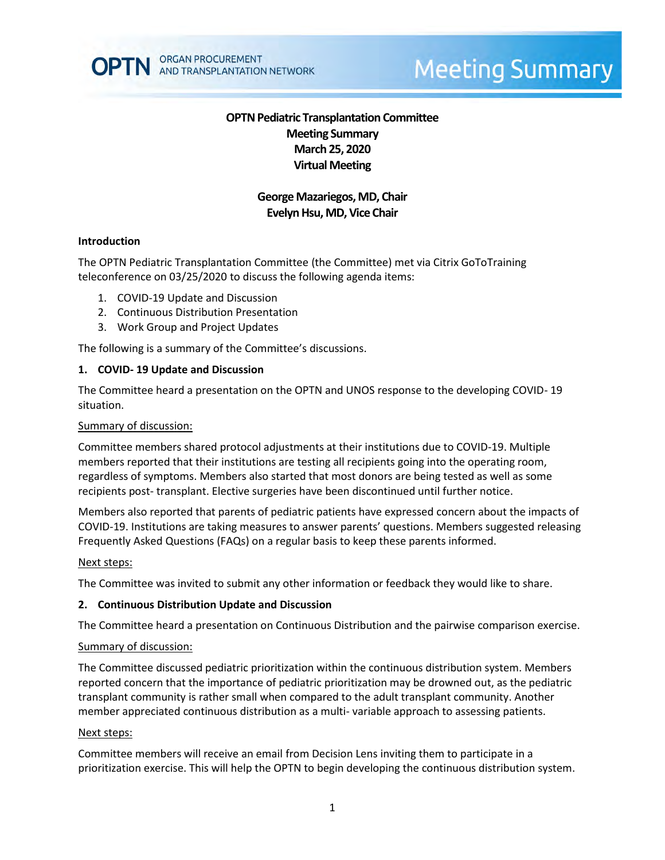

# **Meeting Summary**

# **OPTN Pediatric Transplantation Committee Meeting Summary March 25, 2020 Virtual Meeting**

# **George Mazariegos, MD, Chair Evelyn Hsu, MD, Vice Chair**

## **Introduction**

The OPTN Pediatric Transplantation Committee (the Committee) met via Citrix GoToTraining teleconference on 03/25/2020 to discuss the following agenda items:

- 1. COVID-19 Update and Discussion
- 2. Continuous Distribution Presentation
- 3. Work Group and Project Updates

The following is a summary of the Committee's discussions.

## **1. COVID- 19 Update and Discussion**

The Committee heard a presentation on the OPTN and UNOS response to the developing COVID- 19 situation.

#### Summary of discussion:

Committee members shared protocol adjustments at their institutions due to COVID-19. Multiple members reported that their institutions are testing all recipients going into the operating room, regardless of symptoms. Members also started that most donors are being tested as well as some recipients post- transplant. Elective surgeries have been discontinued until further notice.

Members also reported that parents of pediatric patients have expressed concern about the impacts of COVID-19. Institutions are taking measures to answer parents' questions. Members suggested releasing Frequently Asked Questions (FAQs) on a regular basis to keep these parents informed.

#### Next steps:

The Committee was invited to submit any other information or feedback they would like to share.

#### **2. Continuous Distribution Update and Discussion**

The Committee heard a presentation on Continuous Distribution and the pairwise comparison exercise.

#### Summary of discussion:

The Committee discussed pediatric prioritization within the continuous distribution system. Members reported concern that the importance of pediatric prioritization may be drowned out, as the pediatric transplant community is rather small when compared to the adult transplant community. Another member appreciated continuous distribution as a multi- variable approach to assessing patients.

#### Next steps:

Committee members will receive an email from Decision Lens inviting them to participate in a prioritization exercise. This will help the OPTN to begin developing the continuous distribution system.